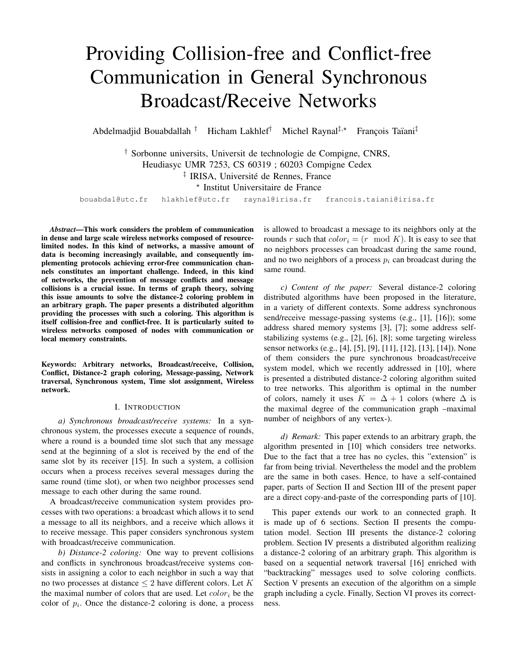# Providing Collision-free and Conflict-free Communication in General Synchronous Broadcast/Receive Networks

Abdelmadjid Bouabdallah † Hicham Lakhlef† Michel Raynal<sup>‡,\*</sup> François Taïani<sup>‡</sup>

† Sorbonne universits, Universit de technologie de Compigne, CNRS, Heudiasyc UMR 7253, CS 60319 ; 60203 Compigne Cedex <sup>‡</sup> IRISA, Université de Rennes, France ? Institut Universitaire de France

bouabdal@utc.fr hlakhlef@utc.fr raynal@irisa.fr francois.taiani@irisa.fr

*Abstract*—This work considers the problem of communication in dense and large scale wireless networks composed of resourcelimited nodes. In this kind of networks, a massive amount of data is becoming increasingly available, and consequently implementing protocols achieving error-free communication channels constitutes an important challenge. Indeed, in this kind of networks, the prevention of message conflicts and message collisions is a crucial issue. In terms of graph theory, solving this issue amounts to solve the distance-2 coloring problem in an arbitrary graph. The paper presents a distributed algorithm providing the processes with such a coloring. This algorithm is itself collision-free and conflict-free. It is particularly suited to wireless networks composed of nodes with communication or local memory constraints.

Keywords: Arbitrary networks, Broadcast/receive, Collision, Conflict, Distance-2 graph coloring, Message-passing, Network traversal, Synchronous system, Time slot assignment, Wireless network.

### I. INTRODUCTION

*a) Synchronous broadcast/receive systems:* In a synchronous system, the processes execute a sequence of rounds, where a round is a bounded time slot such that any message send at the beginning of a slot is received by the end of the same slot by its receiver [15]. In such a system, a collision occurs when a process receives several messages during the same round (time slot), or when two neighbor processes send message to each other during the same round.

A broadcast/receive communication system provides processes with two operations: a broadcast which allows it to send a message to all its neighbors, and a receive which allows it to receive message. This paper considers synchronous system with broadcast/receive communication.

*b) Distance-2 coloring:* One way to prevent collisions and conflicts in synchronous broadcast/receive systems consists in assigning a color to each neighbor in such a way that no two processes at distance  $\leq 2$  have different colors. Let K the maximal number of colors that are used. Let  $color_i$  be the color of  $p_i$ . Once the distance-2 coloring is done, a process is allowed to broadcast a message to its neighbors only at the rounds r such that  $color_i = (r \mod K)$ . It is easy to see that no neighbors processes can broadcast during the same round, and no two neighbors of a process  $p_i$  can broadcast during the same round.

*c) Content of the paper:* Several distance-2 coloring distributed algorithms have been proposed in the literature, in a variety of different contexts. Some address synchronous send/receive message-passing systems (e.g., [1], [16]); some address shared memory systems [3], [7]; some address selfstabilizing systems (e.g., [2], [6], [8]; some targeting wireless sensor networks (e.g., [4], [5], [9], [11], [12], [13], [14]). None of them considers the pure synchronous broadcast/receive system model, which we recently addressed in [10], where is presented a distributed distance-2 coloring algorithm suited to tree networks. This algorithm is optimal in the number of colors, namely it uses  $K = \Delta + 1$  colors (where  $\Delta$  is the maximal degree of the communication graph –maximal number of neighbors of any vertex-).

*d) Remark:* This paper extends to an arbitrary graph, the algorithm presented in [10] which considers tree networks. Due to the fact that a tree has no cycles, this "extension" is far from being trivial. Nevertheless the model and the problem are the same in both cases. Hence, to have a self-contained paper, parts of Section II and Section III of the present paper are a direct copy-and-paste of the corresponding parts of [10].

This paper extends our work to an connected graph. It is made up of 6 sections. Section II presents the computation model. Section III presents the distance-2 coloring problem. Section IV presents a distributed algorithm realizing a distance-2 coloring of an arbitrary graph. This algorithm is based on a sequential network traversal [16] enriched with "backtracking" messages used to solve coloring conflicts. Section V presents an execution of the algorithm on a simple graph including a cycle. Finally, Section VI proves its correctness.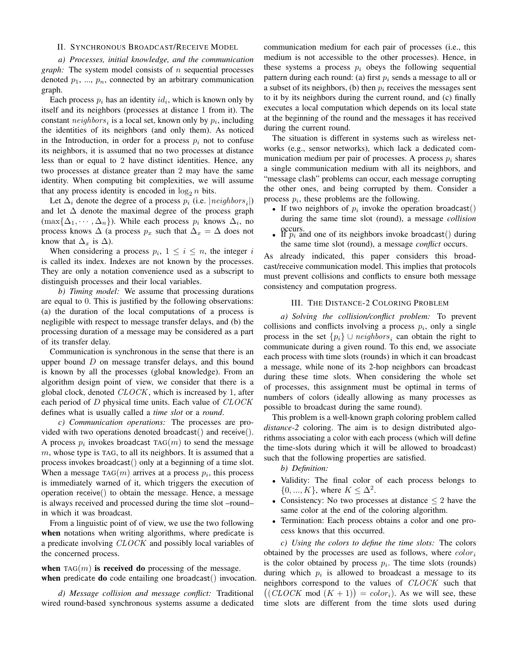### II. SYNCHRONOUS BROADCAST/RECEIVE MODEL

*a) Processes, initial knowledge, and the communication graph:* The system model consists of n sequential processes denoted  $p_1$ , ...,  $p_n$ , connected by an arbitrary communication graph.

Each process  $p_i$  has an identity  $id_i$ , which is known only by itself and its neighbors (processes at distance 1 from it). The constant  $neighbors_i$  is a local set, known only by  $p_i$ , including the identities of its neighbors (and only them). As noticed in the Introduction, in order for a process  $p_i$  not to confuse its neighbors, it is assumed that no two processes at distance less than or equal to 2 have distinct identities. Hence, any two processes at distance greater than 2 may have the same identity. When computing bit complexities, we will assume that any process identity is encoded in  $\log_2 n$  bits.

Let  $\Delta_i$  denote the degree of a process  $p_i$  (i.e.  $|neighbors_i|$ ) and let  $\Delta$  denote the maximal degree of the process graph  $(\max{\{\Delta_1,\dots,\Delta_n\}})$ . While each process  $p_i$  knows  $\Delta_i$ , no process knows  $\Delta$  (a process  $p_x$  such that  $\Delta_x = \Delta$  does not know that  $\Delta_x$  is  $\Delta$ ).

When considering a process  $p_i$ ,  $1 \le i \le n$ , the integer i is called its index. Indexes are not known by the processes. They are only a notation convenience used as a subscript to distinguish processes and their local variables.

*b) Timing model:* We assume that processing durations are equal to 0. This is justified by the following observations: (a) the duration of the local computations of a process is negligible with respect to message transfer delays, and (b) the processing duration of a message may be considered as a part of its transfer delay.

Communication is synchronous in the sense that there is an upper bound  $D$  on message transfer delays, and this bound is known by all the processes (global knowledge). From an algorithm design point of view, we consider that there is a global clock, denoted  $CLOCK$ , which is increased by 1, after each period of D physical time units. Each value of CLOCK defines what is usually called a *time slot* or a *round*.

*c) Communication operations:* The processes are provided with two operations denoted broadcast() and receive(). A process  $p_i$  invokes broadcast TAG(m) to send the message  $m$ , whose type is TAG, to all its neighbors. It is assumed that a process invokes broadcast() only at a beginning of a time slot. When a message TAG $(m)$  arrives at a process  $p_i$ , this process is immediately warned of it, which triggers the execution of operation receive() to obtain the message. Hence, a message is always received and processed during the time slot –round– in which it was broadcast.

From a linguistic point of of view, we use the two following when notations when writing algorithms, where predicate is a predicate involving CLOCK and possibly local variables of the concerned process.

when  $TAG(m)$  is received do processing of the message. when predicate do code entailing one broadcast() invocation.

*d) Message collision and message conflict:* Traditional wired round-based synchronous systems assume a dedicated communication medium for each pair of processes (i.e., this medium is not accessible to the other processes). Hence, in these systems a process  $p_i$  obeys the following sequential pattern during each round: (a) first  $p_i$  sends a message to all or a subset of its neighbors, (b) then  $p_i$  receives the messages sent to it by its neighbors during the current round, and (c) finally executes a local computation which depends on its local state at the beginning of the round and the messages it has received during the current round.

The situation is different in systems such as wireless networks (e.g., sensor networks), which lack a dedicated communication medium per pair of processes. A process  $p_i$  shares a single communication medium with all its neighbors, and "message clash" problems can occur, each message corrupting the other ones, and being corrupted by them. Consider a process  $p_i$ , these problems are the following.

- If two neighbors of  $p_i$  invoke the operation broadcast() during the same time slot (round), a message *collision*
- **•** If  $p_i$  and one of its neighbors invoke broadcast() during the same time slot (round), a message *conflict* occurs.

As already indicated, this paper considers this broadcast/receive communication model. This implies that protocols must prevent collisions and conflicts to ensure both message consistency and computation progress.

#### III. THE DISTANCE-2 COLORING PROBLEM

*a) Solving the collision/conflict problem:* To prevent collisions and conflicts involving a process  $p_i$ , only a single process in the set  $\{p_i\} \cup neighbors_i$  can obtain the right to communicate during a given round. To this end, we associate each process with time slots (rounds) in which it can broadcast a message, while none of its 2-hop neighbors can broadcast during these time slots. When considering the whole set of processes, this assignment must be optimal in terms of numbers of colors (ideally allowing as many processes as possible to broadcast during the same round).

This problem is a well-known graph coloring problem called *distance-2* coloring. The aim is to design distributed algorithms associating a color with each process (which will define the time-slots during which it will be allowed to broadcast) such that the following properties are satisfied.

*b) Definition:*

- Validity: The final color of each process belongs to  $\{0, ..., K\}$ , where  $K \leq \Delta^2$ .
- Consistency: No two processes at distance  $\leq 2$  have the same color at the end of the coloring algorithm.
- Termination: Each process obtains a color and one process knows that this occurred.

*c) Using the colors to define the time slots:* The colors obtained by the processes are used as follows, where  $color_i$ is the color obtained by process  $p_i$ . The time slots (rounds) during which  $p_i$  is allowed to broadcast a message to its neighbors correspond to the values of CLOCK such that  $((CLOCK \mod (K+1)) = color_i)$ . As we will see, these time slots are different from the time slots used during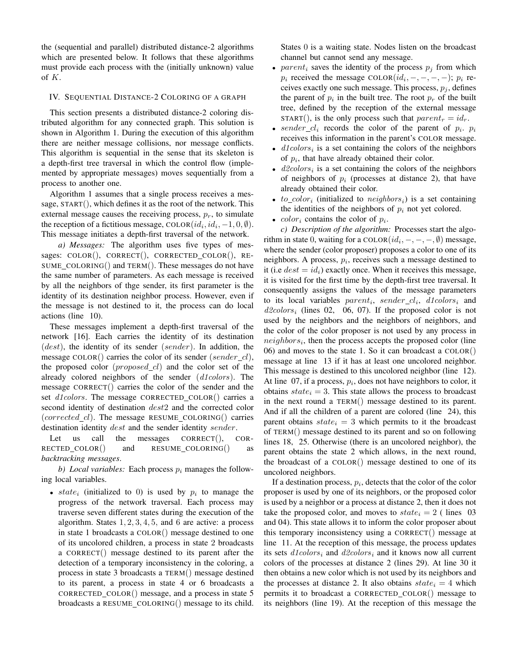the (sequential and parallel) distributed distance-2 algorithms which are presented below. It follows that these algorithms must provide each process with the (initially unknown) value of K.

### IV. SEQUENTIAL DISTANCE-2 COLORING OF A GRAPH

This section presents a distributed distance-2 coloring distributed algorithm for any connected graph. This solution is shown in Algorithm 1. During the execution of this algorithm there are neither message collisions, nor message conflicts. This algorithm is sequential in the sense that its skeleton is a depth-first tree traversal in which the control flow (implemented by appropriate messages) moves sequentially from a process to another one.

Algorithm 1 assumes that a single process receives a message, START(), which defines it as the root of the network. This external message causes the receiving process,  $p_r$ , to simulate the reception of a fictitious message, COLOR $(id_i, id_i, -1, 0, \emptyset)$ . This message initiates a depth-first traversal of the network.

*a) Messages:* The algorithm uses five types of messages: COLOR(), CORRECT(), CORRECTED\_COLOR(), RE-SUME COLORING() and TERM(). These messages do not have the same number of parameters. As each message is received by all the neighbors of thge sender, its first parameter is the identity of its destination neighbor process. However, even if the message is not destined to it, the process can do local actions (line 10).

These messages implement a depth-first traversal of the network [16]. Each carries the identity of its destination  $(dest)$ , the identity of its sender (sender). In addition, the message COLOR() carries the color of its sender (sender  $_{cl}$ ), the proposed color  $(proposed\_cl)$  and the color set of the already colored neighbors of the sender (d1colors). The message CORRECT() carries the color of the sender and the set *d1colors*. The message CORRECTED\_COLOR() carries a second identity of destination dest2 and the corrected color  $(corrected_c l)$ . The message RESUME\_COLORING $()$  carries destination identity dest and the sender identity sender.

Let us call the messages CORRECT(), COR-RECTED COLOR() and RESUME COLORING() as *backtracking messages*.

*b)* Local variables: Each process  $p_i$  manages the following local variables.

• state<sub>i</sub> (initialized to 0) is used by  $p_i$  to manage the progress of the network traversal. Each process may traverse seven different states during the execution of the algorithm. States  $1, 2, 3, 4, 5$ , and 6 are active: a process in state 1 broadcasts a COLOR() message destined to one of its uncolored children, a process in state 2 broadcasts a CORRECT() message destined to its parent after the detection of a temporary inconsistency in the coloring, a process in state 3 broadcasts a TERM() message destined to its parent, a process in state 4 or 6 broadcasts a  $CORRECTED\_COLOR()$  message, and a process in state 5 broadcasts a RESUME COLORING() message to its child. States 0 is a waiting state. Nodes listen on the broadcast channel but cannot send any message.

- parent<sub>i</sub> saves the identity of the process  $p_i$  from which  $p_i$  received the message COLOR $(id_i, -, -, -, -)$ ;  $p_i$  receives exactly one such message. This process,  $p_i$ , defines the parent of  $p_i$  in the built tree. The root  $p_r$  of the built tree, defined by the reception of the external message START(), is the only process such that  $parent_r = id_r$ .
- sender\_cl<sub>i</sub> records the color of the parent of  $p_i$ .  $p_i$ receives this information in the parent's COLOR message.
- $\bullet$  d1colors<sub>i</sub> is a set containing the colors of the neighbors of  $p_i$ , that have already obtained their color.
- $\bullet$  d2colors<sub>i</sub> is a set containing the colors of the neighbors of neighbors of  $p_i$  (processes at distance 2), that have already obtained their color.
- $to\_color_i$  (initialized to  $neighbors_i$ ) is a set containing the identities of the neighbors of  $p_i$  not yet colored.
- $color_i$  contains the color of  $p_i$ .

*c) Description of the algorithm:* Processes start the algorithm in state 0, waiting for a COLOR $(id_i, -, -, -, \emptyset)$  message, where the sender (color proposer) proposes a color to one of its neighbors. A process,  $p_i$ , receives such a message destined to it (i.e  $dest = id_i$ ) exactly once. When it receives this message, it is visited for the first time by the depth-first tree traversal. It consequently assigns the values of the message parameters to its local variables  $parent_i$ ,  $sender\_cl_i$ ,  $d1colors_i$  and  $d2colors_i$  (lines 02, 06, 07). If the proposed color is not used by the neighbors and the neighbors of neighbors, and the color of the color proposer is not used by any process in  $neighbors<sub>i</sub>$ , then the process accepts the proposed color (line 06) and moves to the state 1. So it can broadcast a COLOR() message at line 13 if it has at least one uncolored neighbor. This message is destined to this uncolored neighbor (line 12). At line 07, if a process,  $p_i$ , does not have neighbors to color, it obtains  $state_i = 3$ . This state allows the process to broadcast in the next round a TERM() message destined to its parent. And if all the children of a parent are colored (line 24), this parent obtains  $state_i = 3$  which permits to it the broadcast of TERM() message destined to its parent and so on following lines 18, 25. Otherwise (there is an uncolored neighbor), the parent obtains the state 2 which allows, in the next round, the broadcast of a COLOR() message destined to one of its uncolored neighbors.

If a destination process,  $p_i$ , detects that the color of the color proposer is used by one of its neighbors, or the proposed color is used by a neighbor or a process at distance 2, then it does not take the proposed color, and moves to  $state_i = 2$  (lines 03) and 04). This state allows it to inform the color proposer about this temporary inconsistency using a CORRECT() message at line 11. At the reception of this message, the process updates its sets  $d1colors<sub>i</sub>$  and  $d2colors<sub>i</sub>$  and it knows now all current colors of the processes at distance 2 (lines 29). At line 30 it then obtains a new color which is not used by its neighbors and the processes at distance 2. It also obtains  $state_i = 4$  which permits it to broadcast a CORRECTED COLOR() message to its neighbors (line 19). At the reception of this message the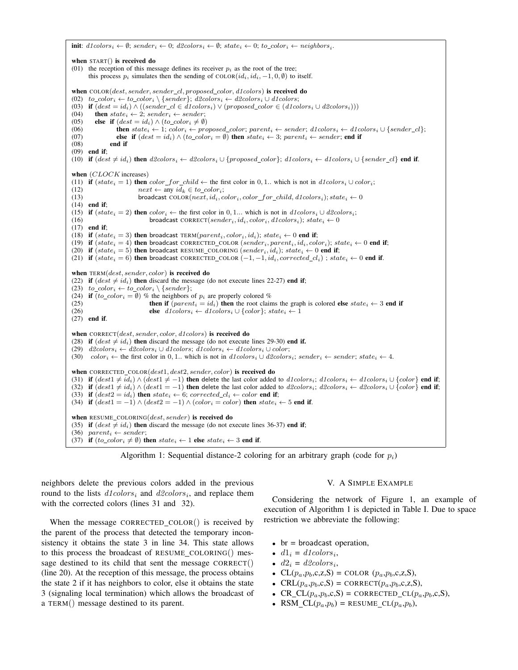**init**:  $d1colors_i \leftarrow \emptyset$ ;  $sender_i \leftarrow 0$ ;  $d2colors_i \leftarrow \emptyset$ ;  $state_i \leftarrow 0$ ;  $to\_color_i \leftarrow neighbors_i$ . when START() is received do (01) the reception of this message defines its receiver  $p_i$  as the root of the tree; this process  $p_i$  simulates then the sending of COLOR( $id_i$ ,  $id_i$ ,  $-1$ ,  $0$ ,  $\emptyset$ ) to itself. when  $COLOR(dest, sender, sender\_cl, proposed\_color, d1colors)$  is received do (02)  $to\_color_i \leftarrow to\_color_i \setminus \{sender\}; \, d2colors_i \leftarrow d2colors_i \cup d1colors;$ (03) if  $(dest = id_i) \wedge ((sender\_cl \in d1colors_i) \vee (proposed\_color \in (d1colors_i \cup d2colors_i)))$ <br>(04) then state;  $\leftarrow 2$ : sender;  $\leftarrow$  sender: then  $state_i \leftarrow 2$ ; sender<sub>i</sub>  $\leftarrow sender$ ; (05) else if  $(dest = id_i) \wedge (to\_color_i \neq \emptyset)$ <br>(06) then  $state_i \leftarrow 1$ ;  $color_i \leftarrow pro_i$ (06) **then**  $state_i \leftarrow 1$ ; color<sub>i</sub> ← proposed\_color; parent<sub>i</sub> ← sender; d1colors<sub>i</sub> ← d1colors<sub>i</sub> ∪ {sender\_cl};<br>(07) **else if**  $dest = id_i$ ) ∧ (to\_color<sub>i</sub> =  $\emptyset$ ) **then**  $state_i \leftarrow 3$ ; parent<sub>i</sub> ← sender; **end if** (07) **else if**  $dest = id_i) \wedge (to\_color_i = \emptyset)$  then  $state_i \leftarrow 3$ ;  $parent_i \leftarrow sender$ ; **end if** (08) **end if** end if (09) end if; (10) if  $(dest \neq id_i)$  then  $d2colors_i \leftarrow d2colors_i \cup \{proposed\_color\}; d1colors_i \leftarrow d1colors_i \cup \{sender\_cl\}$  end if. when (CLOCK increases) (11) if  $(state_i = 1)$  then  $color\_for\_child \leftarrow$  the first color in 0, 1.. which is not in  $d1colors_i \cup color_i$ ;<br>(12)  $next \leftarrow any id_k \in to\_color_i$ ;  $next \leftarrow \text{any } id_k \in to\_color_i;$ (13) broadcast  $\text{COLOR}(next, id_i, color_i, color\_for\_child, d1colors_i); state_i \leftarrow 0$ (14) end if; (15) if  $(state_i = 2)$  then  $color_i \leftarrow$  the first color in 0, 1... which is not in  $d1colors_i \cup d2colors_i$ ; (16) broadcast CORRECT(sender<sub>i</sub>, id<sub>i</sub>, color<sub>i</sub>, d1colors<sub>i</sub>); state<sub>i</sub>  $\leftarrow 0$ (17) end if; (18) if  $(state_i = 3)$  then broadcast TERM(parent<sub>i</sub>, color<sub>i</sub>, id<sub>i</sub>); state<sub>i</sub>  $\leftarrow 0$  end if; (19) if  $(state_i = 4)$  then broadcast CORRECTED\_COLOR  $(sender_i, parent_i, id_i, color_i)$ ;  $state_i \leftarrow 0$  end if; (20) if  $(state_i = 5)$  then broadcast RESUME\_COLORING  $(sender_i, id_i); state_i \leftarrow 0$  end if; (21) if  $(state_i = 6)$  then broadcast CORRECTED\_COLOR  $(-1, -1, id_i, corrected\_cl_i)$ ; state<sub>i</sub>  $\leftarrow 0$  end if. when  $TERM(dest, sender, color)$  is received do (22) if  $(dest \neq id_i)$  then discard the message (do not execute lines 22-27) end if; (23)  $to\_color_i \leftarrow to\_color_i \setminus {sender};$ (24) if  $(to\_color = \emptyset)$  % the neighbors of  $p_i$  are properly colored %<br>(25) **then if**  $(parent_i = id_i)$  **then** the root clain (25) **then if**  $(parent_i = id_i)$  **then** the root claims the graph is colored **else** state<sub>i</sub>  $\leftarrow$  3 **end if** (26) **else**  $d{t}colors_i \leftarrow d{t}colors_i \cup \{color\}; state_i \leftarrow 1$ **else**  $d1colors_i ← d1colors_i ∪ {color}; state_i ← 1$ (27) end if. when CORRECT(dest, sender, color, d1colors) is received do (28) if  $(dest \neq id_i)$  then discard the message (do not execute lines 29-30) end if. (29)  $d2colors_i \leftarrow d2colors_i \cup d1colors; d1colors_i \leftarrow d1colors_i \leftarrow d1colors_i$ (30) color<sub>i</sub> ← the first color in 0, 1.. which is not in  $d1colors_i \cup d2colors_i$ ; sender<sub>i</sub> ← sender; state<sub>i</sub> ← 4. when  $CORRECTED\_COLOR(dest1, dest2, sender, color)$  is received do (31) if  $(dest1 \neq id_i) \wedge (dest1 \neq -1)$  then delete the last color added to  $d1colors_i; d1colors_i \leftarrow d1colors_i \cup \{color\}$  end if; (32) if  $\text{dest1} \neq id_i$ )  $\land$   $\text{dest1} = -1$ ) then delete the last color added to  $d2colors_i$ ;  $d2colors_i \leftarrow d2colors_i \cup \{color\}$  end if; (33) if  $(dest2 = id_i)$  then  $state_i \leftarrow 6$ ; corrected\_cl<sub>i</sub>  $\leftarrow$  color end if; (34) if  $(dest1 = -1) \wedge (dest2 = -1) \wedge (color_i = color)$  then  $state_i \leftarrow 5$  end if. when RESUME\_COLORING $(dest, sender)$  is received do (35) if  $(dest \neq id_i)$  then discard the message (do not execute lines 36-37) end if; (36) parent<sub>i</sub>  $\leftarrow$  sender; (37) if  $(to\_color_i \neq \emptyset)$  then  $state_i \leftarrow 1$  else  $state_i \leftarrow 3$  end if.

Algorithm 1: Sequential distance-2 coloring for an arbitrary graph (code for  $p_i$ )

neighbors delete the previous colors added in the previous round to the lists  $d1colors<sub>i</sub>$  and  $d2colors<sub>i</sub>$ , and replace them with the corrected colors (lines 31 and 32).

When the message CORRECTED COLOR() is received by the parent of the process that detected the temporary inconsistency it obtains the state 3 in line 34. This state allows to this process the broadcast of RESUME COLORING() message destined to its child that sent the message CORRECT() (line 20). At the reception of this message, the process obtains the state 2 if it has neighbors to color, else it obtains the state 3 (signaling local termination) which allows the broadcast of a TERM() message destined to its parent.

#### V. A SIMPLE EXAMPLE

Considering the network of Figure 1, an example of execution of Algorithm 1 is depicted in Table I. Due to space restriction we abbreviate the following:

- $\bullet$  br = broadcast operation,
- $d1_i = d1 \, colors_i,$
- $d2_i = d2colors_i,$
- CL $(p_a, p_b, c, z, S)$  = COLOR  $(p_a, p_b, c, z, S)$ ,
- CRL $(p_a, p_b, c, S)$  = CORRECT $(p_a, p_b, c, z, S)$ ,
- CR\_CL $(p_a, p_b, c, S)$  = CORRECTED\_CL $(p_a, p_b, c, S)$ ,
- RSM\_CL $(p_a, p_b)$  = RESUME\_CL $(p_a, p_b)$ ,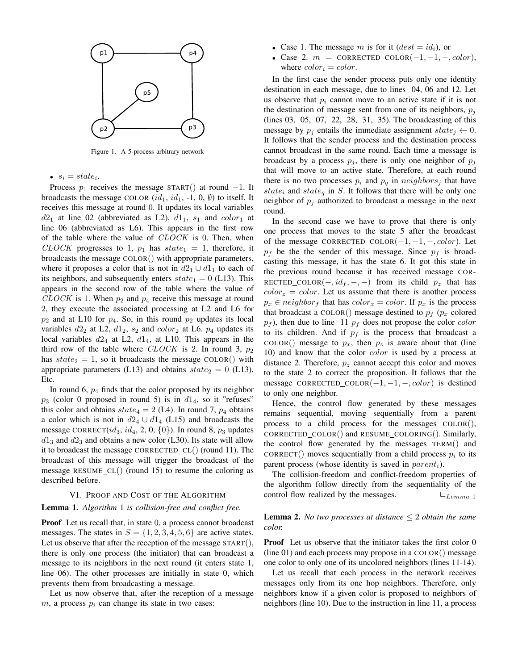

Figure 1. A 5-process arbitrary network

•  $s_i = state_i$ .

Process  $p_1$  receives the message START() at round  $-1$ . It broadcasts the message COLOR  $(id_1, id_1, -1, 0, \emptyset)$  to itself. It receives this message at round 0. It updates its local variables  $d2_1$  at line 02 (abbreviated as L2),  $d1_1$ ,  $s_1$  and  $color_1$  at line 06 (abbreviated as L6). This appears in the first row of the table where the value of  $CLOCK$  is 0. Then, when CLOCK progresses to 1,  $p_1$  has  $state_1 = 1$ , therefore, it broadcasts the message COLOR() with appropriate parameters, where it proposes a color that is not in  $d2_1 \cup d1_1$  to each of its neighbors, and subsequently enters  $state_1 = 0$  (L13). This appears in the second row of the table where the value of  $CLOCK$  is 1. When  $p_2$  and  $p_4$  receive this message at round 2, they execute the associated processing at L2 and L6 for  $p_2$  and at L10 for  $p_4$ . So, in this round  $p_2$  updates its local variables  $d2_2$  at L2,  $d1_2$ ,  $s_2$  and  $color_2$  at L6.  $p_4$  updates its local variables  $d2_4$  at L2,  $d1_4$ , at L10. This appears in the third row of the table where CLOCK is 2. In round 3,  $p_2$ has  $state_2 = 1$ , so it broadcasts the message COLOR() with appropriate parameters (L13) and obtains  $state_2 = 0$  (L13), Etc.

In round 6,  $p_4$  finds that the color proposed by its neighbor  $p_3$  (color 0 proposed in round 5) is in  $d1_4$ , so it "refuses" this color and obtains  $state_4 = 2$  (L4). In round 7,  $p_4$  obtains a color which is not in  $d2_4 \cup d1_4$  (L15) and broadcasts the message CORRECT( $id_3$ ,  $id_4$ , 2, 0, {0}). In round 8,  $p_3$  updates  $d1_3$  and  $d2_3$  and obtains a new color (L30). Its state will allow it to broadcast the message CORRECTED\_CL $()$  (round 11). The broadcast of this message will trigger the broadcast of the message RESUME $_{\rm CL}$ () (round 15) to resume the coloring as described before.

#### VI. PROOF AND COST OF THE ALGORITHM

#### Lemma 1. *Algorithm* 1 *is collision-free and conflict free.*

**Proof** Let us recall that, in state 0, a process cannot broadcast messages. The states in  $S = \{1, 2, 3, 4, 5, 6\}$  are active states. Let us observe that after the reception of the message START(), there is only one process (the initiator) that can broadcast a message to its neighbors in the next round (it enters state 1, line 06). The other processes are initially in state 0, which prevents them from broadcasting a message.

Let us now observe that, after the reception of a message  $m$ , a process  $p_i$  can change its state in two cases:

- Case 1. The message m is for it  $(dest = id<sub>i</sub>)$ , or
- Case 2.  $m = \text{CORRECFED\_COLOR}(-1, -1, -, color),$ where  $color_i = color$ .

In the first case the sender process puts only one identity destination in each message, due to lines 04, 06 and 12. Let us observe that  $p_i$  cannot move to an active state if it is not the destination of message sent from one of its neighbors,  $p_i$ (lines 03, 05, 07, 22, 28, 31, 35). The broadcasting of this message by  $p_j$  entails the immediate assignment  $state_j \leftarrow 0$ . It follows that the sender process and the destination process cannot broadcast in the same round. Each time a message is broadcast by a process  $p_i$ , there is only one neighbor of  $p_i$ that will move to an active state. Therefore, at each round there is no two processes  $p_i$  and  $p_q$  in  $neighbors_j$  that have state<sub>i</sub> and state<sub>q</sub> in S. It follows that there will be only one neighbor of  $p_i$  authorized to broadcast a message in the next round.

In the second case we have to prove that there is only one process that moves to the state 5 after the broadcast of the message CORRECTED\_COLOR $(-1, -1, -$ , color). Let  $p_f$  be the the sender of this message. Since  $p_f$  is broadcasting this message, it has the state 6. It got this state in the previous round because it has received message COR-RECTED\_COLOR $(-, id_f, -, -)$  from its child  $p_z$  that has  $color_z = color$ . Let us assume that there is another process  $p_x \in neighbor_f$  that has  $color_x = color$ . If  $p_x$  is the process that broadcast a COLOR() message destined to  $p_f$  ( $p_x$  colored  $p_f$ ), then due to line 11  $p_f$  does not propose the color *color* to its children. And if  $p_f$  is the process that broadcast a COLOR() message to  $p_x$ , then  $p_z$  is aware about that (line 10) and know that the color color is used by a process at distance 2. Therefore,  $p_z$  cannot accept this color and moves to the state 2 to correct the proposition. It follows that the message CORRECTED COLOR $(-1, -1, -1, -, color)$  is destined to only one neighbor.

Hence, the control flow generated by these messages remains sequential, moving sequentially from a parent process to a child process for the messages COLOR(), CORRECTED COLOR() and RESUME COLORING(). Similarly, the control flow generated by the messages TERM() and CORRECT() moves sequentially from a child process  $p_i$  to its parent process (whose identity is saved in  $parent_i$ ).

The collision-freedom and conflict-freedom properties of the algorithm follow directly from the sequentiality of the control flow realized by the messages.  $\square_{Lemma 1}$ 

## **Lemma 2.** *No two processes at distance*  $\leq 2$  *obtain the same color.*

**Proof** Let us observe that the initiator takes the first color 0 (line 01) and each process may propose in a COLOR() message one color to only one of its uncolored neighbors (lines 11-14).

Let us recall that each process in the network receives messages only from its one hop neighbors. Therefore, only neighbors know if a given color is proposed to neighbors of neighbors (line 10). Due to the instruction in line 11, a process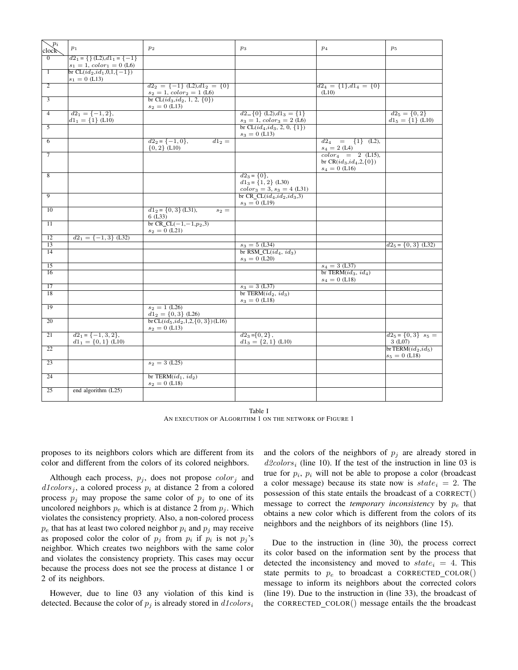| $\mathcal{p}_i$<br>clock | $p_1$                                                                                  | $p_2$                                                                  | $p_3$                                                                       | p <sub>4</sub>                                                           | $p_5$                                    |
|--------------------------|----------------------------------------------------------------------------------------|------------------------------------------------------------------------|-----------------------------------------------------------------------------|--------------------------------------------------------------------------|------------------------------------------|
| $\overline{0}$           | $d2_1 = \{\}\left(\frac{L}{2}, d1_1 = \{-1\}\right)$<br>$s_1 = 1$ , $color_1 = 0$ (L6) |                                                                        |                                                                             |                                                                          |                                          |
| $\mathbf{1}$             | br $CL(id_2, id_1, 0, 1, \{-1\})$<br>$s_1 = 0$ (L13)                                   |                                                                        |                                                                             |                                                                          |                                          |
| $\overline{2}$           |                                                                                        | $d2_2 = \{-1\}$ (L2), $d1_2 = \{0\}$<br>$s_2 = 1$ , $color_2 = 1$ (L6) |                                                                             | $d2_4 = \{1\}, d1_4 = \{0\}$<br>(L10)                                    |                                          |
| $\overline{\mathbf{3}}$  |                                                                                        | br CL $(id_3, id_2, 1, 2, \{0\})$<br>$s_2 = 0$ (L13)                   |                                                                             |                                                                          |                                          |
| $\overline{4}$           | $d2_1 = \{-1, 2\},\$<br>$d1_1 = \{1\}$ (L10)                                           |                                                                        | $d2=\{0\}$ (L2), $d1_3=\{1\}$<br>$s_3 = 1, color_3 = 2$ (L6)                |                                                                          | $d2_5 = \{0,2\}$<br>$d1_5 = \{1\}$ (L10) |
| 5                        |                                                                                        |                                                                        | br CL $(id_4, id_3, 2, 0, \{1\})$<br>$s_3 = 0$ (L13)                        |                                                                          |                                          |
| $\overline{6}$           |                                                                                        | $d2_2 = \{-1, 0\},\$<br>$\overline{d1_2} =$<br>$\{0, 2\}$ (L10)        |                                                                             | $d2_4$<br>$= \{1\}$ (L2),<br>$s_4 = 2$ (L4)                              |                                          |
| $\overline{\tau}$        |                                                                                        |                                                                        |                                                                             | $color_4 = 2 (L15),$<br>br $CR(id_3, id_4, 2, \{0\})$<br>$s_4 = 0$ (L16) |                                          |
| 8                        |                                                                                        |                                                                        | $d2_3 = \{0\},\$<br>$d1_3 = \{1, 2\}$ (L30)<br>$color_3 = 3, s_3 = 4$ (L31) |                                                                          |                                          |
| $\overline{9}$           |                                                                                        |                                                                        | br CR_CL $(id_4, id_2, id_3, 3)$<br>$s_3 = 0$ (L19)                         |                                                                          |                                          |
| $\overline{10}$          |                                                                                        | $d1_2 = \{0, 3\}$ (L31),<br>$s_2 =$<br>6(L33)                          |                                                                             |                                                                          |                                          |
| 11                       |                                                                                        | br CR_CL $(-1,-1,p_2,3)$<br>$s_2 = 0$ (L21)                            |                                                                             |                                                                          |                                          |
| $\overline{12}$          | $d2_1 = \{-1, 3\}$ (L32)                                                               |                                                                        |                                                                             |                                                                          |                                          |
| 13                       |                                                                                        |                                                                        | $s_3 = 5$ (L34)                                                             |                                                                          | $d2_5 = \{0,3\}$ (L32)                   |
| 14                       |                                                                                        |                                                                        | br RSM_CL $(id_4, id_3)$<br>$s_3 = 0$ (L20)                                 |                                                                          |                                          |
| 15                       |                                                                                        |                                                                        |                                                                             | $s_4 = 3$ (L37)                                                          |                                          |
| 16                       |                                                                                        |                                                                        |                                                                             | br TERM $(id_3, id_4)$<br>$s_4 = 0$ (L18)                                |                                          |
| $\overline{17}$          |                                                                                        |                                                                        | $s_3 = 3$ (L37)                                                             |                                                                          |                                          |
| $\overline{18}$          |                                                                                        |                                                                        | br TERM $(id_2, id_3)$<br>$s_3 = 0$ (L18)                                   |                                                                          |                                          |
| 19                       |                                                                                        | $s_2 = 1$ (L26)<br>$d1_2 = \{0,3\}$ (L26)                              |                                                                             |                                                                          |                                          |
| 20                       |                                                                                        | br CL $(id_5, id_2, 1, 2, \{0, 3\})$ (L16)<br>$s_2 = 0$ (L13)          |                                                                             |                                                                          |                                          |
| $\overline{21}$          | $d2_1 = \{-1, 3, 2\},\$<br>$d1_1 = \{0, 1\}$ (L10)                                     |                                                                        | $d2_3 = \{0, 2\},\$<br>$d1_3 = \{2, 1\}$ (L10)                              |                                                                          | $d2_5 = \{0,3\}$ $s_5 =$<br>3 (L07)      |
| $\overline{22}$          |                                                                                        |                                                                        |                                                                             |                                                                          | brTERM $(id_2, id_5)$<br>$s_5 = 0$ (L18) |
| $\overline{23}$          |                                                                                        | $s_2 = 3$ (L25)                                                        |                                                                             |                                                                          |                                          |
| 24                       |                                                                                        | br TERM $(id_1, id_2)$<br>$s_2 = 0$ (L18)                              |                                                                             |                                                                          |                                          |
| 25                       | end algorithm $(L25)$                                                                  |                                                                        |                                                                             |                                                                          |                                          |

Table I

AN EXECUTION OF ALGORITHM 1 ON THE NETWORK OF FIGURE 1

proposes to its neighbors colors which are different from its color and different from the colors of its colored neighbors.

Although each process,  $p_j$ , does not propose  $color_j$  and  $d1colors<sub>j</sub>$ , a colored process  $p<sub>i</sub>$  at distance 2 from a colored process  $p_j$  may propose the same color of  $p_j$  to one of its uncolored neighbors  $p_e$  which is at distance 2 from  $p_i$ . Which violates the consistency propriety. Also, a non-colored process  $p_e$  that has at least two colored neighbor  $p_i$  and  $p_j$  may receive as proposed color the color of  $p_j$  from  $p_i$  if  $p_i$  is not  $p_j$ 's neighbor. Which creates two neighbors with the same color and violates the consistency propriety. This cases may occur because the process does not see the process at distance 1 or 2 of its neighbors.

However, due to line 03 any violation of this kind is detected. Because the color of  $p_i$  is already stored in  $d1colors_i$ 

and the colors of the neighbors of  $p_j$  are already stored in  $d2colors<sub>i</sub>$  (line 10). If the test of the instruction in line 03 is true for  $p_i$ ,  $p_i$  will not be able to propose a color (broadcast a color message) because its state now is  $state_i = 2$ . The possession of this state entails the broadcast of a CORRECT() message to correct the *temporary inconsistency* by  $p_e$  that obtains a new color which is different from the colors of its neighbors and the neighbors of its neighbors (line 15).

Due to the instruction in (line 30), the process correct its color based on the information sent by the process that detected the inconsistency and moved to  $state_i = 4$ . This state permits to  $p_e$  to broadcast a CORRECTED COLOR() message to inform its neighbors about the corrected colors (line 19). Due to the instruction in (line 33), the broadcast of the CORRECTED COLOR() message entails the the broadcast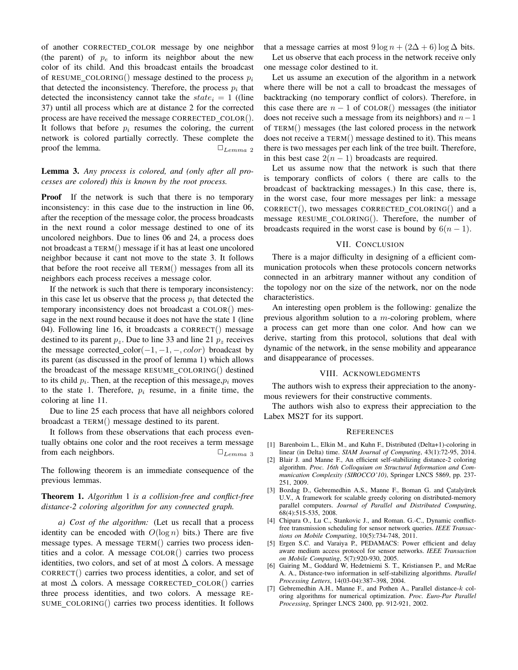of another CORRECTED COLOR message by one neighbor (the parent) of  $p_e$  to inform its neighbor about the new color of its child. And this broadcast entails the broadcast of RESUME\_COLORING() message destined to the process  $p_i$ that detected the inconsistency. Therefore, the process  $p_i$  that detected the inconsistency cannot take the  $state_i = 1$  ((line 37) until all process which are at distance 2 for the corrected process are have received the message CORRECTED COLOR(). It follows that before  $p_i$  resumes the coloring, the current network is colored partially correctly. These complete the proof the lemma.  $\Box$ <sub>Lemma 2</sub>

# Lemma 3. *Any process is colored, and (only after all processes are colored) this is known by the root process.*

**Proof** If the network is such that there is no temporary inconsistency: in this case due to the instruction in line 06, after the reception of the message color, the process broadcasts in the next round a color message destined to one of its uncolored neighbors. Due to lines 06 and 24, a process does not broadcast a TERM() message if it has at least one uncolored neighbor because it cant not move to the state 3. It follows that before the root receive all TERM() messages from all its neighbors each process receives a message color.

If the network is such that there is temporary inconsistency: in this case let us observe that the process  $p_i$  that detected the temporary inconsistency does not broadcast a COLOR() message in the next round because it does not have the state 1 (line 04). Following line 16, it broadcasts a CORRECT() message destined to its parent  $p_z$ . Due to line 33 and line 21  $p_z$  receives the message corrected\_color( $-1$ ,  $-1$ ,  $-$ ,  $color$ ) broadcast by its parent (as discussed in the proof of lemma 1) which allows the broadcast of the message RESUME COLORING() destined to its child  $p_i$ . Then, at the reception of this message,  $p_i$  moves to the state 1. Therefore,  $p_i$  resume, in a finite time, the coloring at line 11.

Due to line 25 each process that have all neighbors colored broadcast a TERM() message destined to its parent.

It follows from these observations that each process eventually obtains one color and the root receives a term message from each neighbors.  $\Box$   $L_{tempa}$  3

The following theorem is an immediate consequence of the previous lemmas.

# Theorem 1. *Algorithm* 1 *is a collision-free and conflict-free distance-2 coloring algorithm for any connected graph.*

*a) Cost of the algorithm:* (Let us recall that a process identity can be encoded with  $O(\log n)$  bits.) There are five message types. A message TERM() carries two process identities and a color. A message COLOR() carries two process identities, two colors, and set of at most  $\Delta$  colors. A message CORRECT() carries two process identities, a color, and set of at most  $\Delta$  colors. A message CORRECTED\_COLOR() carries three process identities, and two colors. A message RE-SUME COLORING() carries two process identities. It follows that a message carries at most  $9 \log n + (2\Delta + 6) \log \Delta$  bits. Let us observe that each process in the network receive only one message color destined to it.

Let us assume an execution of the algorithm in a network where there will be not a call to broadcast the messages of backtracking (no temporary conflict of colors). Therefore, in this case there are  $n - 1$  of COLOR() messages (the initiator does not receive such a message from its neighbors) and  $n-1$ of TERM() messages (the last colored process in the network does not receive a TERM() message destined to it). This means there is two messages per each link of the tree built. Therefore, in this best case  $2(n - 1)$  broadcasts are required.

Let us assume now that the network is such that there is temporary conflicts of colors ( there are calls to the broadcast of backtracking messages.) In this case, there is, in the worst case, four more messages per link: a message CORRECT(), two messages CORRECTED COLORING() and a message RESUME COLORING(). Therefore, the number of broadcasts required in the worst case is bound by  $6(n - 1)$ .

## VII. CONCLUSION

There is a major difficulty in designing of a efficient communication protocols when these protocols concern networks connected in an arbitrary manner without any condition of the topology nor on the size of the network, nor on the node characteristics.

An interesting open problem is the following: genalize the previous algorithm solution to a  $m$ -coloring problem, where a process can get more than one color. And how can we derive, starting from this protocol, solutions that deal with dynamic of the network, in the sense mobility and appearance and disappearance of processes.

#### VIII. ACKNOWLEDGMENTS

The authors wish to express their appreciation to the anonymous reviewers for their constructive comments.

The authors wish also to express their appreciation to the Labex MS2T for its support.

#### **REFERENCES**

- [1] Barenboim L., Elkin M., and Kuhn F., Distributed (Delta+1)-coloring in linear (in Delta) time. *SIAM Journal of Computing*, 43(1):72-95, 2014.
- [2] Blair J. and Manne F., An efficient self-stabilizing distance-2 coloring algorithm. *Proc. 16th Colloquium on Structural Information and Communication Complexity (SIROCCO'10)*, Springer LNCS 5869, pp. 237- 251, 2009.
- [3] Bozdag D., Gebremedhin A.S., Manne F., Boman G. and Çatalyürek U.V., A framework for scalable greedy coloring on distributed-memory parallel computers. *Journal of Parallel and Distributed Computing*, 68(4):515-535, 2008.
- [4] Chipara O., Lu C., Stankovic J., and Roman. G.-C., Dynamic conflictfree transmission scheduling for sensor network queries. *IEEE Transactions on Mobile Computing*, 10(5):734-748, 2011.
- [5] Ergen S.C. and Varaiya P., PEDAMACS: Power efficient and delay aware medium access protocol for sensor networks. *IEEE Transaction on Mobile Computing*, 5(7):920-930, 2005.
- [6] Gairing M., Goddard W, Hedetniemi S. T., Kristiansen P., and McRae A. A., Distance-two information in self-stabilizing algorithms. *Parallel Processing Letters*, 14(03-04):387–398, 2004.
- [7] Gebremedhin A.H., Manne F., and Pothen A., Parallel distance-k coloring algorithms for numerical optimization. *Proc. Euro-Par Parallel Processing*, Springer LNCS 2400, pp. 912-921, 2002.